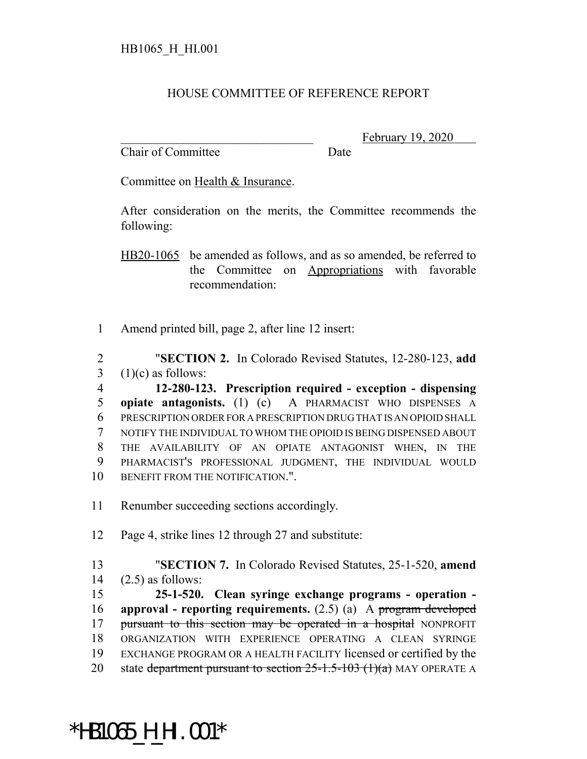## HOUSE COMMITTEE OF REFERENCE REPORT

Chair of Committee Date

February 19, 2020

Committee on Health & Insurance.

After consideration on the merits, the Committee recommends the following:

HB20-1065 be amended as follows, and as so amended, be referred to the Committee on Appropriations with favorable recommendation:

1 Amend printed bill, page 2, after line 12 insert:

2 "**SECTION 2.** In Colorado Revised Statutes, 12-280-123, **add**  $3$  (1)(c) as follows:

 **12-280-123. Prescription required - exception - dispensing opiate antagonists.** (1) (c) A PHARMACIST WHO DISPENSES A PRESCRIPTION ORDER FOR A PRESCRIPTION DRUG THAT IS AN OPIOID SHALL NOTIFY THE INDIVIDUAL TO WHOM THE OPIOID IS BEING DISPENSED ABOUT THE AVAILABILITY OF AN OPIATE ANTAGONIST WHEN, IN THE PHARMACIST'S PROFESSIONAL JUDGMENT, THE INDIVIDUAL WOULD 10 BENEFIT FROM THE NOTIFICATION."

11 Renumber succeeding sections accordingly.

12 Page 4, strike lines 12 through 27 and substitute:

13 "**SECTION 7.** In Colorado Revised Statutes, 25-1-520, **amend** 14 (2.5) as follows:

 **25-1-520. Clean syringe exchange programs - operation - approval - reporting requirements.** (2.5) (a) A program developed 17 pursuant to this section may be operated in a hospital NONPROFIT ORGANIZATION WITH EXPERIENCE OPERATING A CLEAN SYRINGE EXCHANGE PROGRAM OR A HEALTH FACILITY licensed or certified by the 20 state department pursuant to section  $25$ -1.5-103  $(1)(a)$  MAY OPERATE A

## \*HB1065\_H\_HI.001\*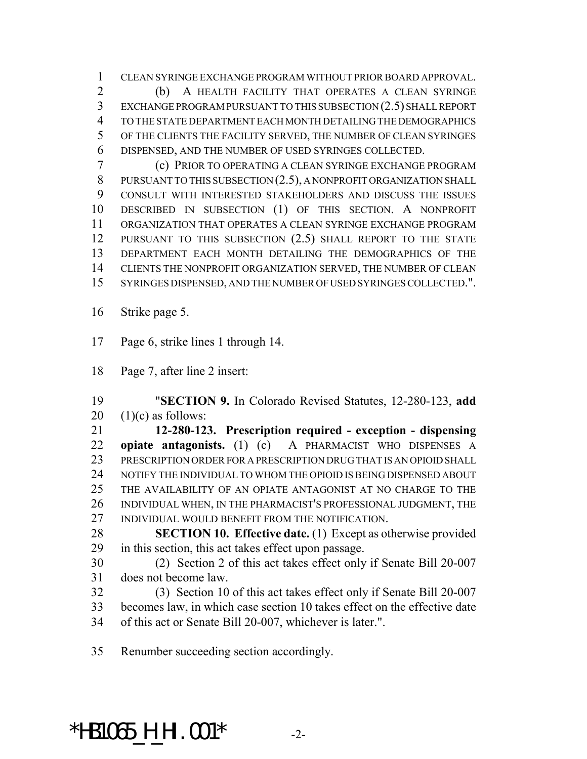CLEAN SYRINGE EXCHANGE PROGRAM WITHOUT PRIOR BOARD APPROVAL. (b) A HEALTH FACILITY THAT OPERATES A CLEAN SYRINGE EXCHANGE PROGRAM PURSUANT TO THIS SUBSECTION (2.5) SHALL REPORT TO THE STATE DEPARTMENT EACH MONTH DETAILING THE DEMOGRAPHICS OF THE CLIENTS THE FACILITY SERVED, THE NUMBER OF CLEAN SYRINGES DISPENSED, AND THE NUMBER OF USED SYRINGES COLLECTED.

 (c) PRIOR TO OPERATING A CLEAN SYRINGE EXCHANGE PROGRAM 8 PURSUANT TO THIS SUBSECTION  $(2.5)$ , A NONPROFIT ORGANIZATION SHALL CONSULT WITH INTERESTED STAKEHOLDERS AND DISCUSS THE ISSUES DESCRIBED IN SUBSECTION (1) OF THIS SECTION. A NONPROFIT ORGANIZATION THAT OPERATES A CLEAN SYRINGE EXCHANGE PROGRAM PURSUANT TO THIS SUBSECTION (2.5) SHALL REPORT TO THE STATE DEPARTMENT EACH MONTH DETAILING THE DEMOGRAPHICS OF THE CLIENTS THE NONPROFIT ORGANIZATION SERVED, THE NUMBER OF CLEAN SYRINGES DISPENSED, AND THE NUMBER OF USED SYRINGES COLLECTED.".

Strike page 5.

Page 6, strike lines 1 through 14.

Page 7, after line 2 insert:

 "**SECTION 9.** In Colorado Revised Statutes, 12-280-123, **add** 20  $(1)(c)$  as follows:

 **12-280-123. Prescription required - exception - dispensing opiate antagonists.** (1) (c) A PHARMACIST WHO DISPENSES A 23 PRESCRIPTION ORDER FOR A PRESCRIPTION DRUG THAT IS AN OPIOID SHALL 24 NOTIFY THE INDIVIDUAL TO WHOM THE OPIOID IS BEING DISPENSED ABOUT THE AVAILABILITY OF AN OPIATE ANTAGONIST AT NO CHARGE TO THE INDIVIDUAL WHEN, IN THE PHARMACIST'S PROFESSIONAL JUDGMENT, THE INDIVIDUAL WOULD BENEFIT FROM THE NOTIFICATION.

- **SECTION 10. Effective date.** (1) Except as otherwise provided in this section, this act takes effect upon passage.
- (2) Section 2 of this act takes effect only if Senate Bill 20-007 does not become law.

 (3) Section 10 of this act takes effect only if Senate Bill 20-007 becomes law, in which case section 10 takes effect on the effective date of this act or Senate Bill 20-007, whichever is later.".

Renumber succeeding section accordingly.

## \*HB1065\_H\_HI.001\* -2-